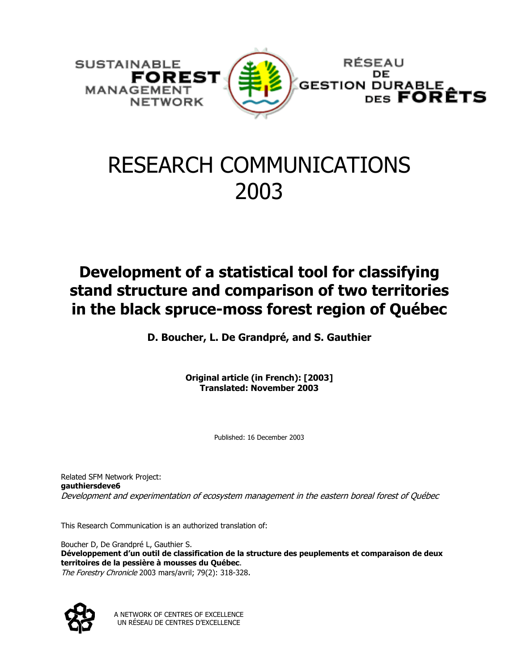

# RESEARCH COMMUNICATIONS 2003

### **Development of a statistical tool for classifying stand structure and comparison of two territories in the black spruce-moss forest region of Québec**

**D. Boucher, L. De Grandpré, and S. Gauthier** 

**Original article (in French): [2003] Translated: November 2003** 

Published: 16 December 2003

Related SFM Network Project: **gauthiersdeve6** Development and experimentation of ecosystem management in the eastern boreal forest of Québec

This Research Communication is an authorized translation of:

Boucher D, De Grandpré L, Gauthier S. **Développement d'un outil de classification de la structure des peuplements et comparaison de deux territoires de la pessière à mousses du Québec**. The Forestry Chronicle 2003 mars/avril; 79(2): 318-328.



A NETWORK OF CENTRES OF EXCELLENCE UN RÉSEAU DE CENTRES D'EXCELLENCE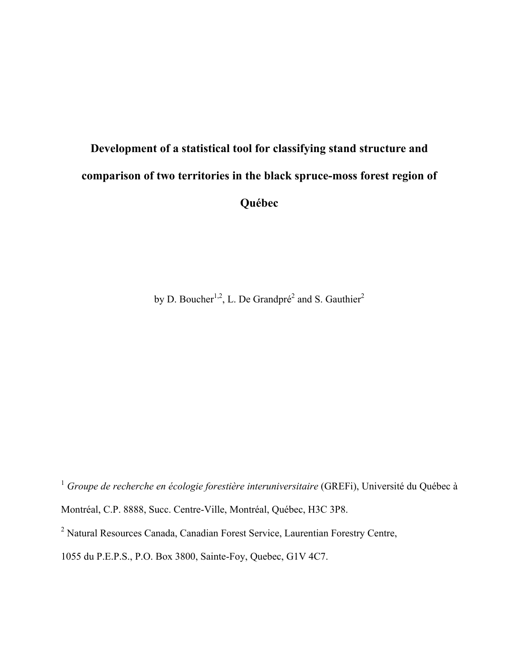## **Development of a statistical tool for classifying stand structure and comparison of two territories in the black spruce-moss forest region of Québec**

by D. Boucher<sup>1,2</sup>, L. De Grandpré<sup>2</sup> and S. Gauthier<sup>2</sup>

<sup>1</sup> *Groupe de recherche en écologie forestière interuniversitaire* (GREFi), Université du Québec à Montréal, C.P. 8888, Succ. Centre-Ville, Montréal, Québec, H3C 3P8.

<sup>&</sup>lt;sup>2</sup> Natural Resources Canada, Canadian Forest Service, Laurentian Forestry Centre,

<sup>1055</sup> du P.E.P.S., P.O. Box 3800, Sainte-Foy, Quebec, G1V 4C7.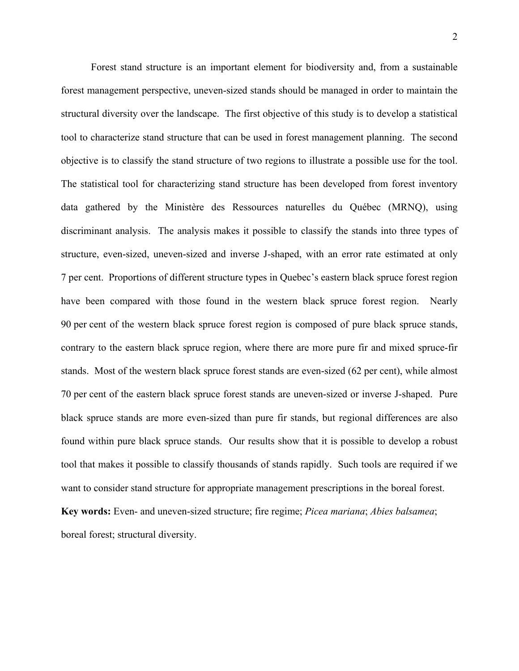Forest stand structure is an important element for biodiversity and, from a sustainable forest management perspective, uneven-sized stands should be managed in order to maintain the structural diversity over the landscape. The first objective of this study is to develop a statistical tool to characterize stand structure that can be used in forest management planning. The second objective is to classify the stand structure of two regions to illustrate a possible use for the tool. The statistical tool for characterizing stand structure has been developed from forest inventory data gathered by the Ministère des Ressources naturelles du Québec (MRNQ), using discriminant analysis. The analysis makes it possible to classify the stands into three types of structure, even-sized, uneven-sized and inverse J-shaped, with an error rate estimated at only 7 per cent. Proportions of different structure types in Quebec's eastern black spruce forest region have been compared with those found in the western black spruce forest region. Nearly 90 per cent of the western black spruce forest region is composed of pure black spruce stands, contrary to the eastern black spruce region, where there are more pure fir and mixed spruce-fir stands. Most of the western black spruce forest stands are even-sized (62 per cent), while almost 70 per cent of the eastern black spruce forest stands are uneven-sized or inverse J-shaped. Pure black spruce stands are more even-sized than pure fir stands, but regional differences are also found within pure black spruce stands. Our results show that it is possible to develop a robust tool that makes it possible to classify thousands of stands rapidly. Such tools are required if we want to consider stand structure for appropriate management prescriptions in the boreal forest. **Key words:** Even- and uneven-sized structure; fire regime; *Picea mariana*; *Abies balsamea*;

boreal forest; structural diversity.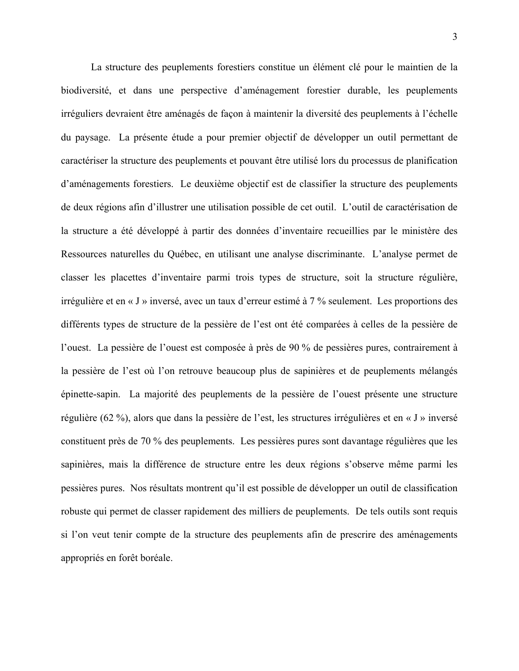La structure des peuplements forestiers constitue un élément clé pour le maintien de la biodiversité, et dans une perspective d'aménagement forestier durable, les peuplements irréguliers devraient être aménagés de façon à maintenir la diversité des peuplements à l'échelle du paysage. La présente étude a pour premier objectif de développer un outil permettant de caractériser la structure des peuplements et pouvant être utilisé lors du processus de planification d'aménagements forestiers. Le deuxième objectif est de classifier la structure des peuplements de deux régions afin d'illustrer une utilisation possible de cet outil. L'outil de caractérisation de la structure a été développé à partir des données d'inventaire recueillies par le ministère des Ressources naturelles du Québec, en utilisant une analyse discriminante. L'analyse permet de classer les placettes d'inventaire parmi trois types de structure, soit la structure régulière, irrégulière et en « J » inversé, avec un taux d'erreur estimé à 7 % seulement. Les proportions des différents types de structure de la pessière de l'est ont été comparées à celles de la pessière de l'ouest. La pessière de l'ouest est composée à près de 90 % de pessières pures, contrairement à la pessière de l'est où l'on retrouve beaucoup plus de sapinières et de peuplements mélangés épinette-sapin. La majorité des peuplements de la pessière de l'ouest présente une structure régulière (62 %), alors que dans la pessière de l'est, les structures irrégulières et en « J » inversé constituent près de 70 % des peuplements. Les pessières pures sont davantage régulières que les sapinières, mais la différence de structure entre les deux régions s'observe même parmi les pessières pures. Nos résultats montrent qu'il est possible de développer un outil de classification robuste qui permet de classer rapidement des milliers de peuplements. De tels outils sont requis si l'on veut tenir compte de la structure des peuplements afin de prescrire des aménagements appropriés en forêt boréale.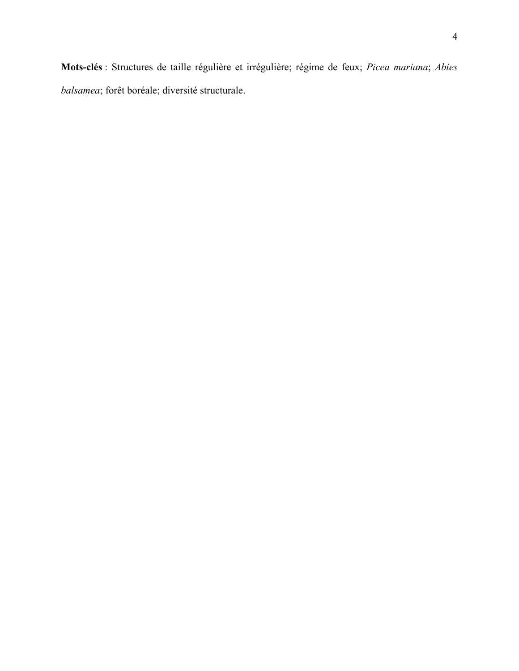**Mots-clés** : Structures de taille régulière et irrégulière; régime de feux; *Picea mariana*; *Abies balsamea*; forêt boréale; diversité structurale.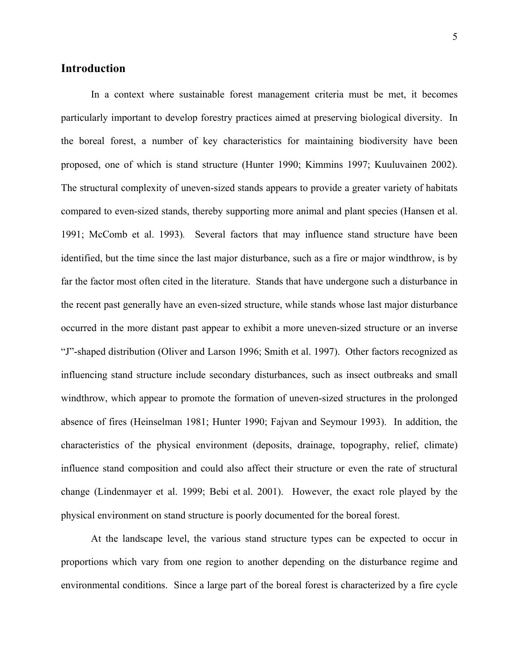#### **Introduction**

In a context where sustainable forest management criteria must be met, it becomes particularly important to develop forestry practices aimed at preserving biological diversity. In the boreal forest, a number of key characteristics for maintaining biodiversity have been proposed, one of which is stand structure (Hunter 1990; Kimmins 1997; Kuuluvainen 2002). The structural complexity of uneven-sized stands appears to provide a greater variety of habitats compared to even-sized stands, thereby supporting more animal and plant species (Hansen et al. 1991; McComb et al. 1993)*.* Several factors that may influence stand structure have been identified, but the time since the last major disturbance, such as a fire or major windthrow, is by far the factor most often cited in the literature. Stands that have undergone such a disturbance in the recent past generally have an even-sized structure, while stands whose last major disturbance occurred in the more distant past appear to exhibit a more uneven-sized structure or an inverse "J"-shaped distribution (Oliver and Larson 1996; Smith et al. 1997). Other factors recognized as influencing stand structure include secondary disturbances, such as insect outbreaks and small windthrow, which appear to promote the formation of uneven-sized structures in the prolonged absence of fires (Heinselman 1981; Hunter 1990; Fajvan and Seymour 1993). In addition, the characteristics of the physical environment (deposits, drainage, topography, relief, climate) influence stand composition and could also affect their structure or even the rate of structural change (Lindenmayer et al. 1999; Bebi et al. 2001). However, the exact role played by the physical environment on stand structure is poorly documented for the boreal forest.

At the landscape level, the various stand structure types can be expected to occur in proportions which vary from one region to another depending on the disturbance regime and environmental conditions. Since a large part of the boreal forest is characterized by a fire cycle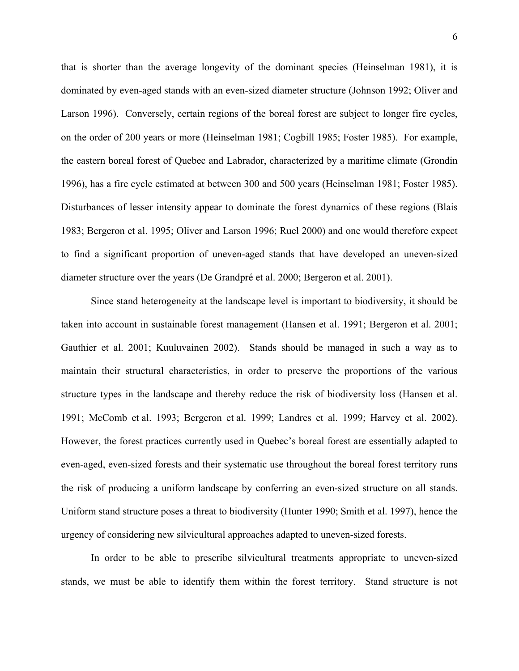that is shorter than the average longevity of the dominant species (Heinselman 1981), it is dominated by even-aged stands with an even-sized diameter structure (Johnson 1992; Oliver and Larson 1996). Conversely, certain regions of the boreal forest are subject to longer fire cycles, on the order of 200 years or more (Heinselman 1981; Cogbill 1985; Foster 1985). For example, the eastern boreal forest of Quebec and Labrador, characterized by a maritime climate (Grondin 1996), has a fire cycle estimated at between 300 and 500 years (Heinselman 1981; Foster 1985). Disturbances of lesser intensity appear to dominate the forest dynamics of these regions (Blais 1983; Bergeron et al. 1995; Oliver and Larson 1996; Ruel 2000) and one would therefore expect to find a significant proportion of uneven-aged stands that have developed an uneven-sized diameter structure over the years (De Grandpré et al. 2000; Bergeron et al. 2001).

Since stand heterogeneity at the landscape level is important to biodiversity, it should be taken into account in sustainable forest management (Hansen et al. 1991; Bergeron et al. 2001; Gauthier et al. 2001; Kuuluvainen 2002). Stands should be managed in such a way as to maintain their structural characteristics, in order to preserve the proportions of the various structure types in the landscape and thereby reduce the risk of biodiversity loss (Hansen et al. 1991; McComb et al. 1993; Bergeron et al. 1999; Landres et al. 1999; Harvey et al. 2002). However, the forest practices currently used in Quebec's boreal forest are essentially adapted to even-aged, even-sized forests and their systematic use throughout the boreal forest territory runs the risk of producing a uniform landscape by conferring an even-sized structure on all stands. Uniform stand structure poses a threat to biodiversity (Hunter 1990; Smith et al. 1997), hence the urgency of considering new silvicultural approaches adapted to uneven-sized forests.

In order to be able to prescribe silvicultural treatments appropriate to uneven-sized stands, we must be able to identify them within the forest territory. Stand structure is not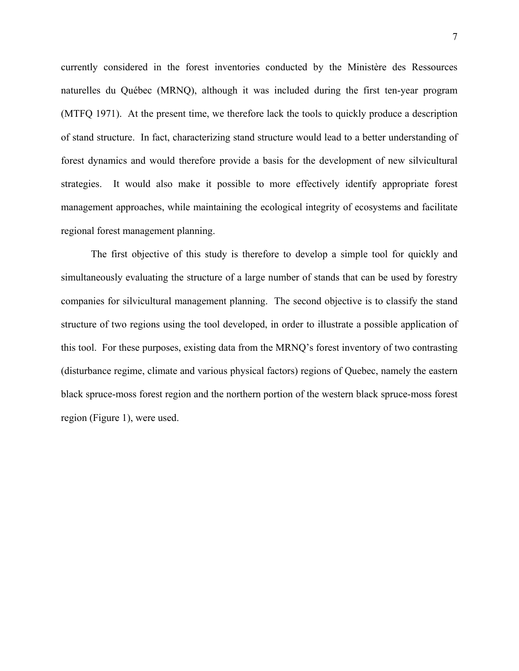currently considered in the forest inventories conducted by the Ministère des Ressources naturelles du Québec (MRNQ), although it was included during the first ten-year program (MTFQ 1971). At the present time, we therefore lack the tools to quickly produce a description of stand structure. In fact, characterizing stand structure would lead to a better understanding of forest dynamics and would therefore provide a basis for the development of new silvicultural strategies. It would also make it possible to more effectively identify appropriate forest management approaches, while maintaining the ecological integrity of ecosystems and facilitate regional forest management planning.

The first objective of this study is therefore to develop a simple tool for quickly and simultaneously evaluating the structure of a large number of stands that can be used by forestry companies for silvicultural management planning. The second objective is to classify the stand structure of two regions using the tool developed, in order to illustrate a possible application of this tool. For these purposes, existing data from the MRNQ's forest inventory of two contrasting (disturbance regime, climate and various physical factors) regions of Quebec, namely the eastern black spruce-moss forest region and the northern portion of the western black spruce-moss forest region (Figure 1), were used.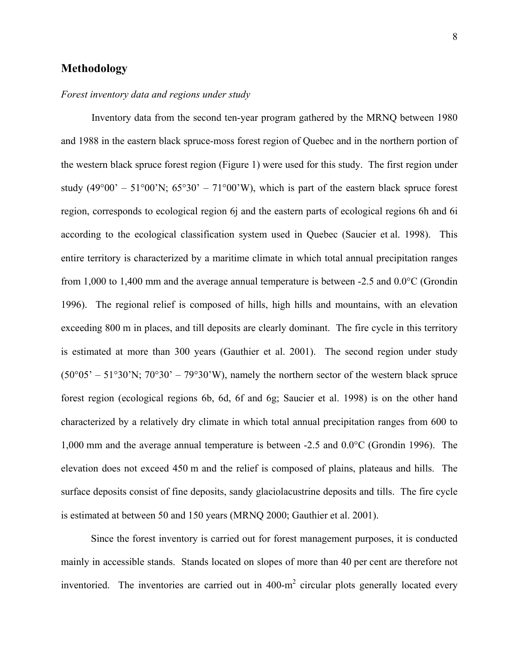#### **Methodology**

#### *Forest inventory data and regions under study*

Inventory data from the second ten-year program gathered by the MRNQ between 1980 and 1988 in the eastern black spruce-moss forest region of Quebec and in the northern portion of the western black spruce forest region (Figure 1) were used for this study. The first region under study (49 $^{\circ}$ 00' – 51 $^{\circ}$ 00'N; 65 $^{\circ}$ 30' – 71 $^{\circ}$ 00'W), which is part of the eastern black spruce forest region, corresponds to ecological region 6j and the eastern parts of ecological regions 6h and 6i according to the ecological classification system used in Quebec (Saucier et al. 1998). This entire territory is characterized by a maritime climate in which total annual precipitation ranges from 1,000 to 1,400 mm and the average annual temperature is between -2.5 and 0.0°C (Grondin 1996). The regional relief is composed of hills, high hills and mountains, with an elevation exceeding 800 m in places, and till deposits are clearly dominant. The fire cycle in this territory is estimated at more than 300 years (Gauthier et al. 2001). The second region under study  $(50°05' - 51°30'N; 70°30' - 79°30'W)$ , namely the northern sector of the western black spruce forest region (ecological regions 6b, 6d, 6f and 6g; Saucier et al. 1998) is on the other hand characterized by a relatively dry climate in which total annual precipitation ranges from 600 to 1,000 mm and the average annual temperature is between -2.5 and 0.0°C (Grondin 1996). The elevation does not exceed 450 m and the relief is composed of plains, plateaus and hills. The surface deposits consist of fine deposits, sandy glaciolacustrine deposits and tills. The fire cycle is estimated at between 50 and 150 years (MRNQ 2000; Gauthier et al. 2001).

Since the forest inventory is carried out for forest management purposes, it is conducted mainly in accessible stands. Stands located on slopes of more than 40 per cent are therefore not inventoried. The inventories are carried out in  $400 \text{--} \text{m}^2$  circular plots generally located every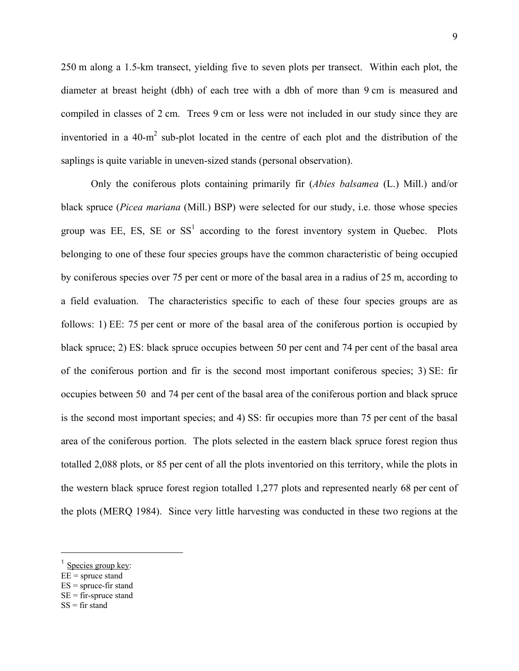250 m along a 1.5-km transect, yielding five to seven plots per transect. Within each plot, the diameter at breast height (dbh) of each tree with a dbh of more than 9 cm is measured and compiled in classes of 2 cm. Trees 9 cm or less were not included in our study since they are inventoried in a  $40 \text{-} m^2$  sub-plot located in the centre of each plot and the distribution of the saplings is quite variable in uneven-sized stands (personal observation).

Only the coniferous plots containing primarily fir (*Abies balsamea* (L.) Mill.) and/or black spruce (*Picea mariana* (Mill.) BSP) were selected for our study, i.e. those whose species groupwas EE, ES, SE or  $SS<sup>1</sup>$  according to the forest inventory system in Quebec. Plots belonging to one of these four species groups have the common characteristic of being occupied by coniferous species over 75 per cent or more of the basal area in a radius of 25 m, according to a field evaluation. The characteristics specific to each of these four species groups are as follows: 1) EE: 75 per cent or more of the basal area of the coniferous portion is occupied by black spruce; 2) ES: black spruce occupies between 50 per cent and 74 per cent of the basal area of the coniferous portion and fir is the second most important coniferous species; 3) SE: fir occupies between 50 and 74 per cent of the basal area of the coniferous portion and black spruce is the second most important species; and 4) SS: fir occupies more than 75 per cent of the basal area of the coniferous portion. The plots selected in the eastern black spruce forest region thus totalled 2,088 plots, or 85 per cent of all the plots inventoried on this territory, while the plots in the western black spruce forest region totalled 1,277 plots and represented nearly 68 per cent of the plots (MERQ 1984). Since very little harvesting was conducted in these two regions at the

 $\overline{a}$ 

<span id="page-9-0"></span> $1$  Species group key:

 $EE =$ spruce stand

 $ES =$ spruce-fir stand

 $SE =$  fir-spruce stand

 $SS = fir$  stand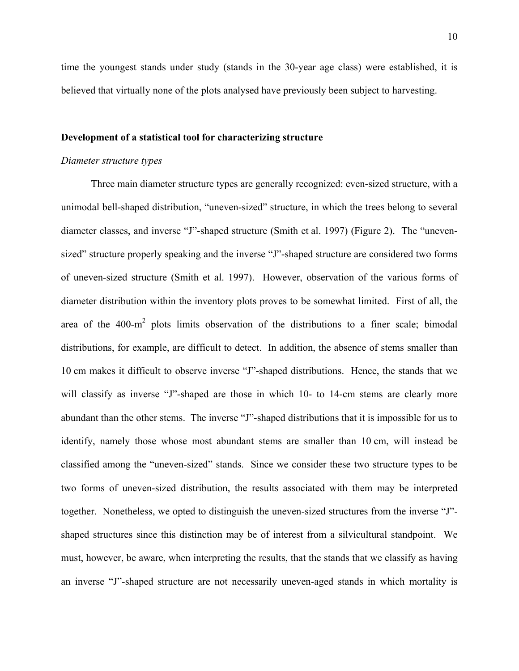time the youngest stands under study (stands in the 30-year age class) were established, it is believed that virtually none of the plots analysed have previously been subject to harvesting.

#### **Development of a statistical tool for characterizing structure**

#### *Diameter structure types*

Three main diameter structure types are generally recognized: even-sized structure, with a unimodal bell-shaped distribution, "uneven-sized" structure, in which the trees belong to several diameter classes, and inverse "J"-shaped structure (Smith et al. 1997) (Figure 2). The "unevensized" structure properly speaking and the inverse "J"-shaped structure are considered two forms of uneven-sized structure (Smith et al. 1997). However, observation of the various forms of diameter distribution within the inventory plots proves to be somewhat limited. First of all, the area of the  $400 \text{-} m^2$  plots limits observation of the distributions to a finer scale; bimodal distributions, for example, are difficult to detect. In addition, the absence of stems smaller than 10 cm makes it difficult to observe inverse "J"-shaped distributions. Hence, the stands that we will classify as inverse "J"-shaped are those in which 10- to 14-cm stems are clearly more abundant than the other stems. The inverse "J"-shaped distributions that it is impossible for us to identify, namely those whose most abundant stems are smaller than 10 cm, will instead be classified among the "uneven-sized" stands. Since we consider these two structure types to be two forms of uneven-sized distribution, the results associated with them may be interpreted together. Nonetheless, we opted to distinguish the uneven-sized structures from the inverse "J" shaped structures since this distinction may be of interest from a silvicultural standpoint. We must, however, be aware, when interpreting the results, that the stands that we classify as having an inverse "J"-shaped structure are not necessarily uneven-aged stands in which mortality is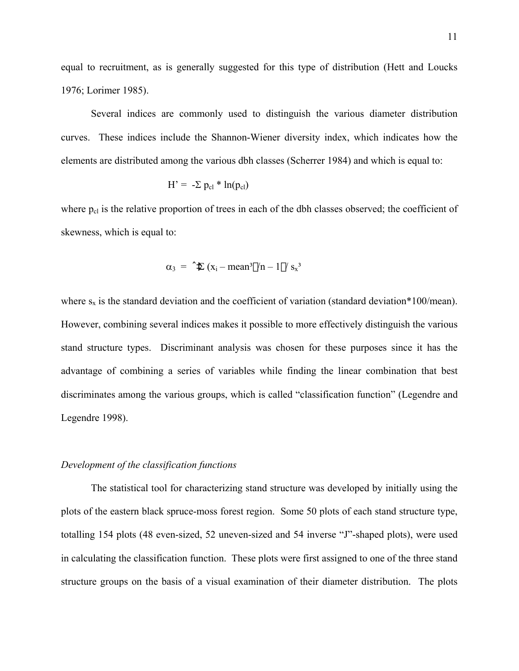equal to recruitment, as is generally suggested for this type of distribution (Hett and Loucks 1976; Lorimer 1985).

Several indices are commonly used to distinguish the various diameter distribution curves. These indices include the Shannon-Wiener diversity index, which indicates how the elements are distributed among the various dbh classes (Scherrer 1984) and which is equal to:

$$
H' = -\Sigma p_{cl} * ln(p_{cl})
$$

where  $p_{cl}$  is the relative proportion of trees in each of the dbh classes observed; the coefficient of skewness, which is equal to:

$$
\alpha_3 = \hat{Z} \left( x_i - \text{mean}^3 / n - 1 / s_x^3 \right)
$$

where  $s_x$  is the standard deviation and the coefficient of variation (standard deviation\*100/mean). However, combining several indices makes it possible to more effectively distinguish the various stand structure types. Discriminant analysis was chosen for these purposes since it has the advantage of combining a series of variables while finding the linear combination that best discriminates among the various groups, which is called "classification function" (Legendre and Legendre 1998).

#### *Development of the classification functions*

The statistical tool for characterizing stand structure was developed by initially using the plots of the eastern black spruce-moss forest region. Some 50 plots of each stand structure type, totalling 154 plots (48 even-sized, 52 uneven-sized and 54 inverse "J"-shaped plots), were used in calculating the classification function. These plots were first assigned to one of the three stand structure groups on the basis of a visual examination of their diameter distribution. The plots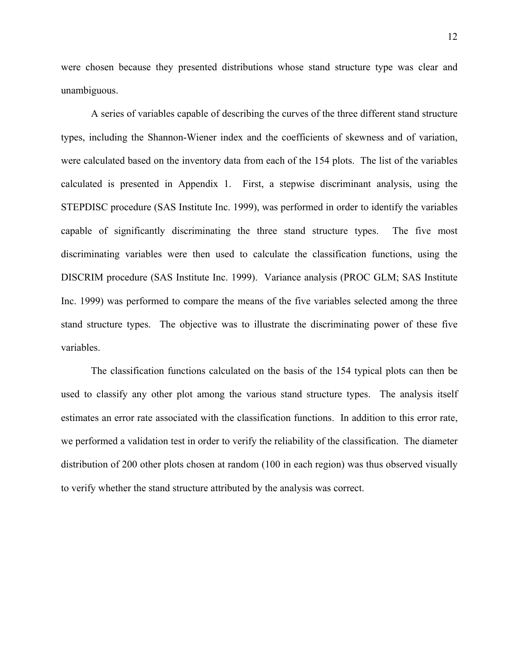were chosen because they presented distributions whose stand structure type was clear and unambiguous.

A series of variables capable of describing the curves of the three different stand structure types, including the Shannon-Wiener index and the coefficients of skewness and of variation, were calculated based on the inventory data from each of the 154 plots. The list of the variables calculated is presented in Appendix 1. First, a stepwise discriminant analysis, using the STEPDISC procedure (SAS Institute Inc. 1999), was performed in order to identify the variables capable of significantly discriminating the three stand structure types. The five most discriminating variables were then used to calculate the classification functions, using the DISCRIM procedure (SAS Institute Inc. 1999). Variance analysis (PROC GLM; SAS Institute Inc. 1999) was performed to compare the means of the five variables selected among the three stand structure types. The objective was to illustrate the discriminating power of these five variables.

The classification functions calculated on the basis of the 154 typical plots can then be used to classify any other plot among the various stand structure types. The analysis itself estimates an error rate associated with the classification functions. In addition to this error rate, we performed a validation test in order to verify the reliability of the classification. The diameter distribution of 200 other plots chosen at random (100 in each region) was thus observed visually to verify whether the stand structure attributed by the analysis was correct.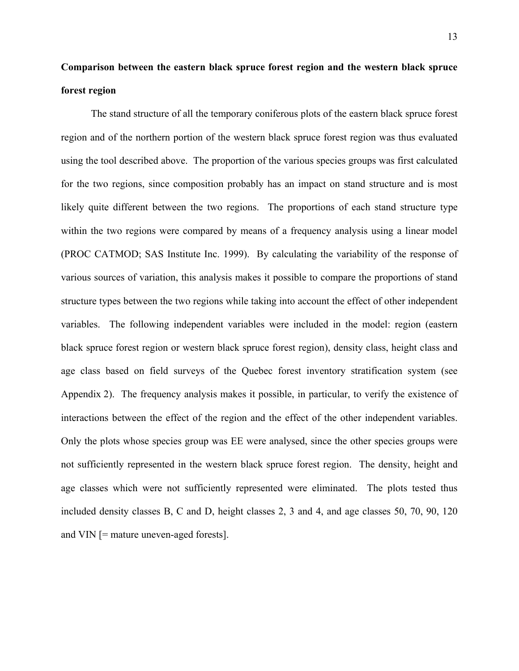### **Comparison between the eastern black spruce forest region and the western black spruce forest region**

The stand structure of all the temporary coniferous plots of the eastern black spruce forest region and of the northern portion of the western black spruce forest region was thus evaluated using the tool described above. The proportion of the various species groups was first calculated for the two regions, since composition probably has an impact on stand structure and is most likely quite different between the two regions. The proportions of each stand structure type within the two regions were compared by means of a frequency analysis using a linear model (PROC CATMOD; SAS Institute Inc. 1999). By calculating the variability of the response of various sources of variation, this analysis makes it possible to compare the proportions of stand structure types between the two regions while taking into account the effect of other independent variables. The following independent variables were included in the model: region (eastern black spruce forest region or western black spruce forest region), density class, height class and age class based on field surveys of the Quebec forest inventory stratification system (see Appendix 2). The frequency analysis makes it possible, in particular, to verify the existence of interactions between the effect of the region and the effect of the other independent variables. Only the plots whose species group was EE were analysed, since the other species groups were not sufficiently represented in the western black spruce forest region. The density, height and age classes which were not sufficiently represented were eliminated. The plots tested thus included density classes B, C and D, height classes 2, 3 and 4, and age classes 50, 70, 90, 120 and VIN [= mature uneven-aged forests].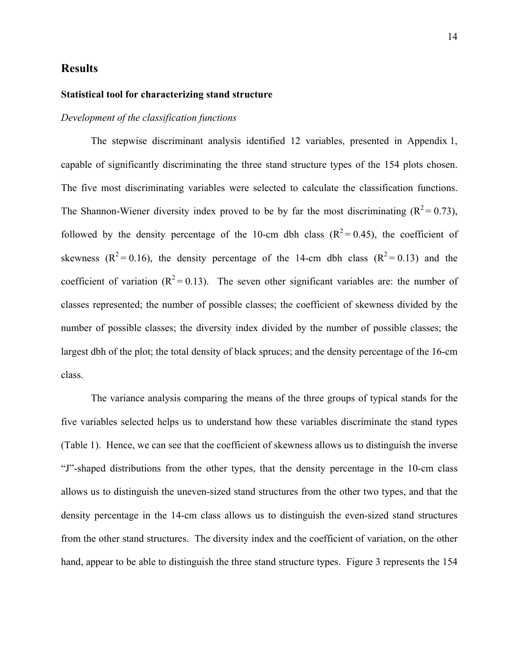#### **Results**

#### **Statistical tool for characterizing stand structure**

#### *Development of the classification functions*

The stepwise discriminant analysis identified 12 variables, presented in Appendix 1, capable of significantly discriminating the three stand structure types of the 154 plots chosen. The five most discriminating variables were selected to calculate the classification functions. The Shannon-Wiener diversity index proved to be by far the most discriminating  $(R^2 = 0.73)$ , followed by the density percentage of the 10-cm dbh class  $(R^2 = 0.45)$ , the coefficient of skewness ( $R^2 = 0.16$ ), the density percentage of the 14-cm dbh class ( $R^2 = 0.13$ ) and the coefficient of variation  $(R^2 = 0.13)$ . The seven other significant variables are: the number of classes represented; the number of possible classes; the coefficient of skewness divided by the number of possible classes; the diversity index divided by the number of possible classes; the largest dbh of the plot; the total density of black spruces; and the density percentage of the 16-cm class.

The variance analysis comparing the means of the three groups of typical stands for the five variables selected helps us to understand how these variables discriminate the stand types (Table 1). Hence, we can see that the coefficient of skewness allows us to distinguish the inverse "J"-shaped distributions from the other types, that the density percentage in the 10-cm class allows us to distinguish the uneven-sized stand structures from the other two types, and that the density percentage in the 14-cm class allows us to distinguish the even-sized stand structures from the other stand structures. The diversity index and the coefficient of variation, on the other hand, appear to be able to distinguish the three stand structure types. Figure 3 represents the 154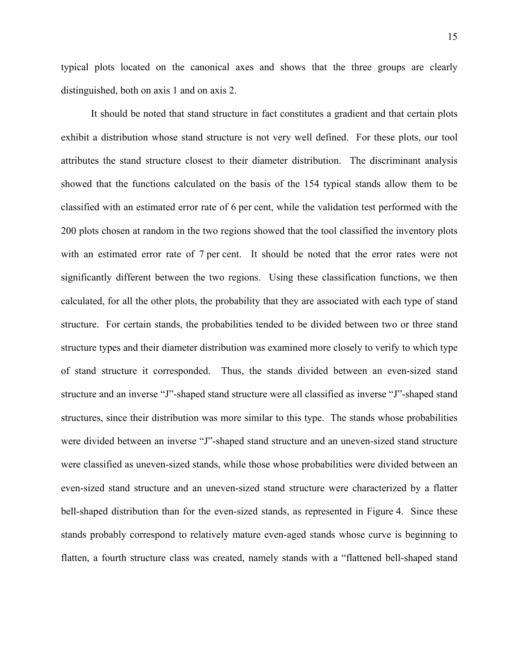typical plots located on the canonical axes and shows that the three groups are clearly distinguished, both on axis 1 and on axis 2.

It should be noted that stand structure in fact constitutes a gradient and that certain plots exhibit a distribution whose stand structure is not very well defined. For these plots, our tool attributes the stand structure closest to their diameter distribution. The discriminant analysis showed that the functions calculated on the basis of the 154 typical stands allow them to be classified with an estimated error rate of 6 per cent, while the validation test performed with the 200 plots chosen at random in the two regions showed that the tool classified the inventory plots with an estimated error rate of 7 per cent. It should be noted that the error rates were not significantly different between the two regions. Using these classification functions, we then calculated, for all the other plots, the probability that they are associated with each type of stand structure. For certain stands, the probabilities tended to be divided between two or three stand structure types and their diameter distribution was examined more closely to verify to which type of stand structure it corresponded. Thus, the stands divided between an even-sized stand structure and an inverse "J"-shaped stand structure were all classified as inverse "J"-shaped stand structures, since their distribution was more similar to this type. The stands whose probabilities were divided between an inverse "J"-shaped stand structure and an uneven-sized stand structure were classified as uneven-sized stands, while those whose probabilities were divided between an even-sized stand structure and an uneven-sized stand structure were characterized by a flatter bell-shaped distribution than for the even-sized stands, as represented in Figure 4. Since these stands probably correspond to relatively mature even-aged stands whose curve is beginning to flatten, a fourth structure class was created, namely stands with a "flattened bell-shaped stand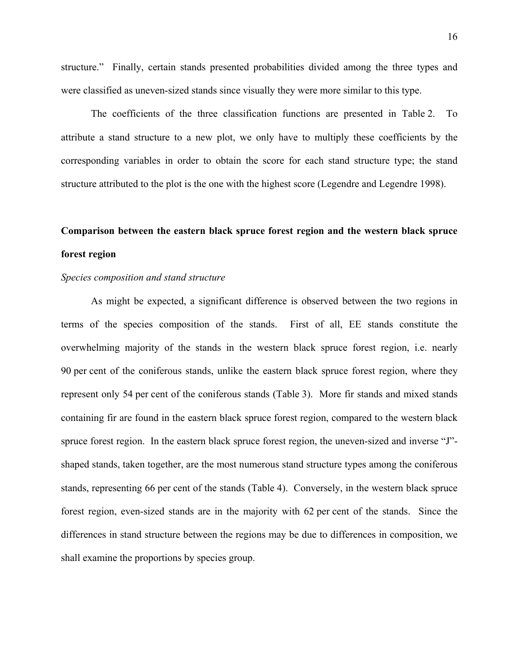structure." Finally, certain stands presented probabilities divided among the three types and were classified as uneven-sized stands since visually they were more similar to this type.

The coefficients of the three classification functions are presented in Table 2. To attribute a stand structure to a new plot, we only have to multiply these coefficients by the corresponding variables in order to obtain the score for each stand structure type; the stand structure attributed to the plot is the one with the highest score (Legendre and Legendre 1998).

### **Comparison between the eastern black spruce forest region and the western black spruce forest region**

#### *Species composition and stand structure*

As might be expected, a significant difference is observed between the two regions in terms of the species composition of the stands. First of all, EE stands constitute the overwhelming majority of the stands in the western black spruce forest region, i.e. nearly 90 per cent of the coniferous stands, unlike the eastern black spruce forest region, where they represent only 54 per cent of the coniferous stands (Table 3). More fir stands and mixed stands containing fir are found in the eastern black spruce forest region, compared to the western black spruce forest region. In the eastern black spruce forest region, the uneven-sized and inverse "J" shaped stands, taken together, are the most numerous stand structure types among the coniferous stands, representing 66 per cent of the stands (Table 4). Conversely, in the western black spruce forest region, even-sized stands are in the majority with 62 per cent of the stands. Since the differences in stand structure between the regions may be due to differences in composition, we shall examine the proportions by species group.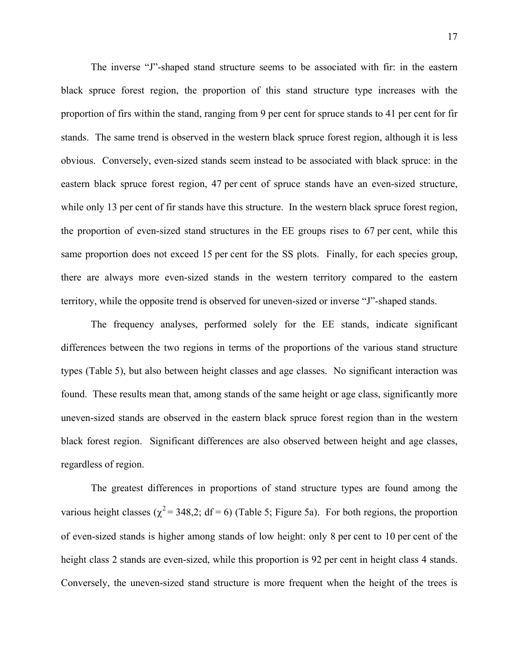The inverse "J"-shaped stand structure seems to be associated with fir: in the eastern black spruce forest region, the proportion of this stand structure type increases with the proportion of firs within the stand, ranging from 9 per cent for spruce stands to 41 per cent for fir stands. The same trend is observed in the western black spruce forest region, although it is less obvious. Conversely, even-sized stands seem instead to be associated with black spruce: in the eastern black spruce forest region, 47 per cent of spruce stands have an even-sized structure, while only 13 per cent of fir stands have this structure. In the western black spruce forest region, the proportion of even-sized stand structures in the EE groups rises to 67 per cent, while this same proportion does not exceed 15 per cent for the SS plots. Finally, for each species group, there are always more even-sized stands in the western territory compared to the eastern territory, while the opposite trend is observed for uneven-sized or inverse "J"-shaped stands.

The frequency analyses, performed solely for the EE stands, indicate significant differences between the two regions in terms of the proportions of the various stand structure types (Table 5), but also between height classes and age classes. No significant interaction was found. These results mean that, among stands of the same height or age class, significantly more uneven-sized stands are observed in the eastern black spruce forest region than in the western black forest region. Significant differences are also observed between height and age classes, regardless of region.

The greatest differences in proportions of stand structure types are found among the various height classes ( $\chi^2$  = 348,2; df = 6) (Table 5; Figure 5a). For both regions, the proportion of even-sized stands is higher among stands of low height: only 8 per cent to 10 per cent of the height class 2 stands are even-sized, while this proportion is 92 per cent in height class 4 stands. Conversely, the uneven-sized stand structure is more frequent when the height of the trees is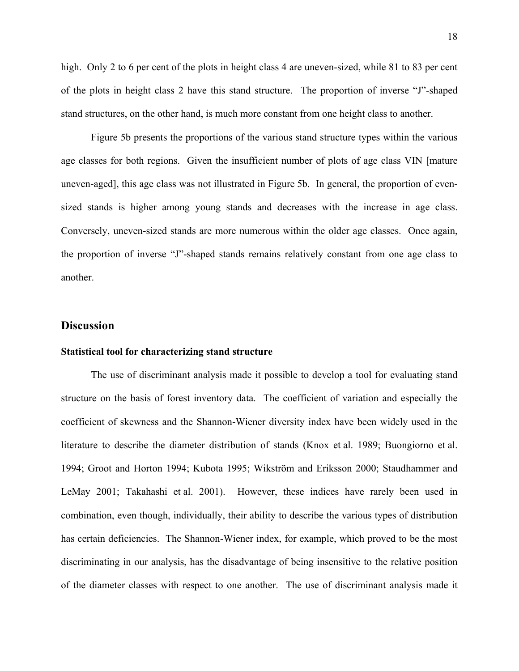high. Only 2 to 6 per cent of the plots in height class 4 are uneven-sized, while 81 to 83 per cent of the plots in height class 2 have this stand structure. The proportion of inverse "J"-shaped stand structures, on the other hand, is much more constant from one height class to another.

Figure 5b presents the proportions of the various stand structure types within the various age classes for both regions. Given the insufficient number of plots of age class VIN [mature uneven-aged], this age class was not illustrated in Figure 5b. In general, the proportion of evensized stands is higher among young stands and decreases with the increase in age class. Conversely, uneven-sized stands are more numerous within the older age classes. Once again, the proportion of inverse "J"-shaped stands remains relatively constant from one age class to another.

#### **Discussion**

#### **Statistical tool for characterizing stand structure**

The use of discriminant analysis made it possible to develop a tool for evaluating stand structure on the basis of forest inventory data. The coefficient of variation and especially the coefficient of skewness and the Shannon-Wiener diversity index have been widely used in the literature to describe the diameter distribution of stands (Knox et al. 1989; Buongiorno et al. 1994; Groot and Horton 1994; Kubota 1995; Wikström and Eriksson 2000; Staudhammer and LeMay 2001; Takahashi et al. 2001). However, these indices have rarely been used in combination, even though, individually, their ability to describe the various types of distribution has certain deficiencies. The Shannon-Wiener index, for example, which proved to be the most discriminating in our analysis, has the disadvantage of being insensitive to the relative position of the diameter classes with respect to one another. The use of discriminant analysis made it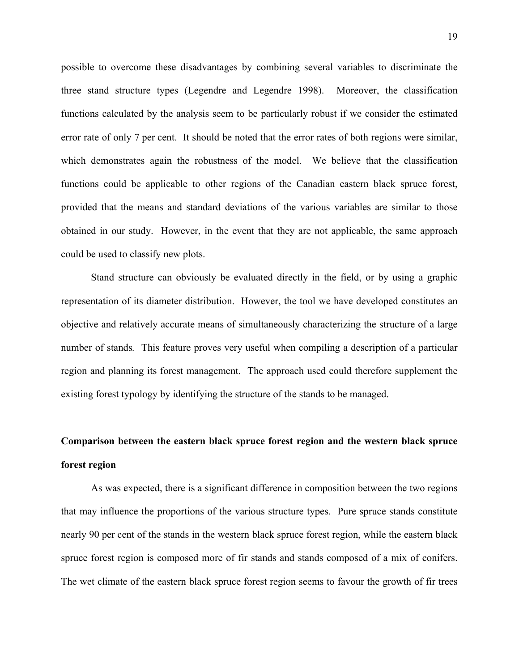possible to overcome these disadvantages by combining several variables to discriminate the three stand structure types (Legendre and Legendre 1998). Moreover, the classification functions calculated by the analysis seem to be particularly robust if we consider the estimated error rate of only 7 per cent. It should be noted that the error rates of both regions were similar, which demonstrates again the robustness of the model. We believe that the classification functions could be applicable to other regions of the Canadian eastern black spruce forest, provided that the means and standard deviations of the various variables are similar to those obtained in our study. However, in the event that they are not applicable, the same approach could be used to classify new plots.

Stand structure can obviously be evaluated directly in the field, or by using a graphic representation of its diameter distribution. However, the tool we have developed constitutes an objective and relatively accurate means of simultaneously characterizing the structure of a large number of stands*.* This feature proves very useful when compiling a description of a particular region and planning its forest management. The approach used could therefore supplement the existing forest typology by identifying the structure of the stands to be managed.

### **Comparison between the eastern black spruce forest region and the western black spruce forest region**

As was expected, there is a significant difference in composition between the two regions that may influence the proportions of the various structure types. Pure spruce stands constitute nearly 90 per cent of the stands in the western black spruce forest region, while the eastern black spruce forest region is composed more of fir stands and stands composed of a mix of conifers. The wet climate of the eastern black spruce forest region seems to favour the growth of fir trees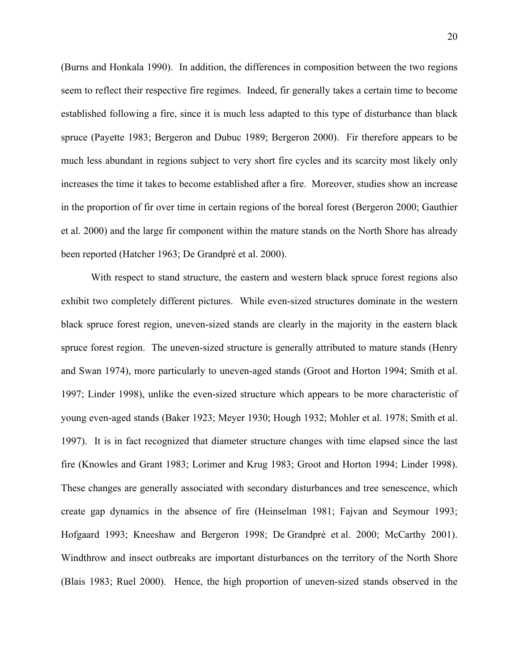(Burns and Honkala 1990). In addition, the differences in composition between the two regions seem to reflect their respective fire regimes. Indeed, fir generally takes a certain time to become established following a fire, since it is much less adapted to this type of disturbance than black spruce (Payette 1983; Bergeron and Dubuc 1989; Bergeron 2000). Fir therefore appears to be much less abundant in regions subject to very short fire cycles and its scarcity most likely only increases the time it takes to become established after a fire. Moreover, studies show an increase in the proportion of fir over time in certain regions of the boreal forest (Bergeron 2000; Gauthier et al. 2000) and the large fir component within the mature stands on the North Shore has already been reported (Hatcher 1963; De Grandpré et al. 2000).

With respect to stand structure, the eastern and western black spruce forest regions also exhibit two completely different pictures. While even-sized structures dominate in the western black spruce forest region, uneven-sized stands are clearly in the majority in the eastern black spruce forest region. The uneven-sized structure is generally attributed to mature stands (Henry and Swan 1974), more particularly to uneven-aged stands (Groot and Horton 1994; Smith et al. 1997; Linder 1998), unlike the even-sized structure which appears to be more characteristic of young even-aged stands (Baker 1923; Meyer 1930; Hough 1932; Mohler et al. 1978; Smith et al. 1997). It is in fact recognized that diameter structure changes with time elapsed since the last fire (Knowles and Grant 1983; Lorimer and Krug 1983; Groot and Horton 1994; Linder 1998). These changes are generally associated with secondary disturbances and tree senescence, which create gap dynamics in the absence of fire (Heinselman 1981; Fajvan and Seymour 1993; Hofgaard 1993; Kneeshaw and Bergeron 1998; De Grandpré et al. 2000; McCarthy 2001). Windthrow and insect outbreaks are important disturbances on the territory of the North Shore (Blais 1983; Ruel 2000). Hence, the high proportion of uneven-sized stands observed in the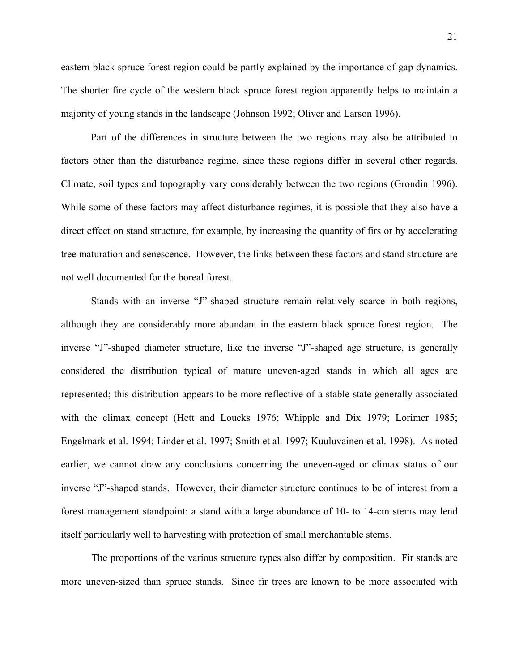eastern black spruce forest region could be partly explained by the importance of gap dynamics. The shorter fire cycle of the western black spruce forest region apparently helps to maintain a majority of young stands in the landscape (Johnson 1992; Oliver and Larson 1996).

Part of the differences in structure between the two regions may also be attributed to factors other than the disturbance regime, since these regions differ in several other regards. Climate, soil types and topography vary considerably between the two regions (Grondin 1996). While some of these factors may affect disturbance regimes, it is possible that they also have a direct effect on stand structure, for example, by increasing the quantity of firs or by accelerating tree maturation and senescence. However, the links between these factors and stand structure are not well documented for the boreal forest.

Stands with an inverse "J"-shaped structure remain relatively scarce in both regions, although they are considerably more abundant in the eastern black spruce forest region. The inverse "J"-shaped diameter structure, like the inverse "J"-shaped age structure, is generally considered the distribution typical of mature uneven-aged stands in which all ages are represented; this distribution appears to be more reflective of a stable state generally associated with the climax concept (Hett and Loucks 1976; Whipple and Dix 1979; Lorimer 1985; Engelmark et al. 1994; Linder et al. 1997; Smith et al. 1997; Kuuluvainen et al. 1998). As noted earlier, we cannot draw any conclusions concerning the uneven-aged or climax status of our inverse "J"-shaped stands. However, their diameter structure continues to be of interest from a forest management standpoint: a stand with a large abundance of 10- to 14-cm stems may lend itself particularly well to harvesting with protection of small merchantable stems.

The proportions of the various structure types also differ by composition. Fir stands are more uneven-sized than spruce stands. Since fir trees are known to be more associated with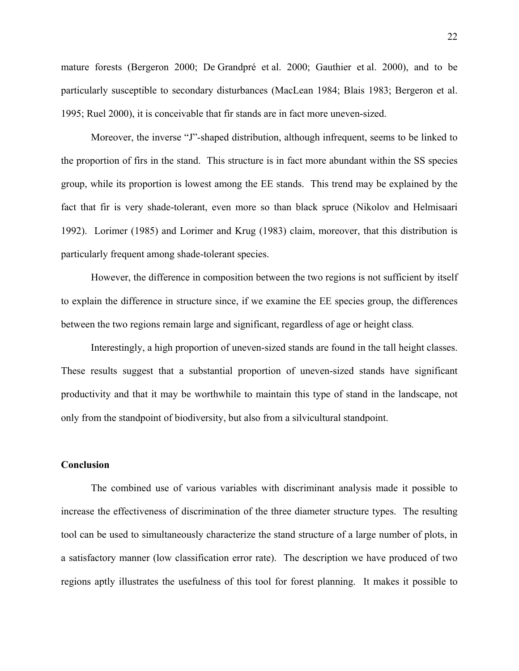mature forests (Bergeron 2000; De Grandpré et al. 2000; Gauthier et al. 2000), and to be particularly susceptible to secondary disturbances (MacLean 1984; Blais 1983; Bergeron et al. 1995; Ruel 2000), it is conceivable that fir stands are in fact more uneven-sized.

Moreover, the inverse "J"-shaped distribution, although infrequent, seems to be linked to the proportion of firs in the stand. This structure is in fact more abundant within the SS species group, while its proportion is lowest among the EE stands. This trend may be explained by the fact that fir is very shade-tolerant, even more so than black spruce (Nikolov and Helmisaari 1992). Lorimer (1985) and Lorimer and Krug (1983) claim, moreover, that this distribution is particularly frequent among shade-tolerant species.

However, the difference in composition between the two regions is not sufficient by itself to explain the difference in structure since, if we examine the EE species group, the differences between the two regions remain large and significant, regardless of age or height class*.* 

Interestingly, a high proportion of uneven-sized stands are found in the tall height classes. These results suggest that a substantial proportion of uneven-sized stands have significant productivity and that it may be worthwhile to maintain this type of stand in the landscape, not only from the standpoint of biodiversity, but also from a silvicultural standpoint.

#### **Conclusion**

The combined use of various variables with discriminant analysis made it possible to increase the effectiveness of discrimination of the three diameter structure types. The resulting tool can be used to simultaneously characterize the stand structure of a large number of plots, in a satisfactory manner (low classification error rate). The description we have produced of two regions aptly illustrates the usefulness of this tool for forest planning. It makes it possible to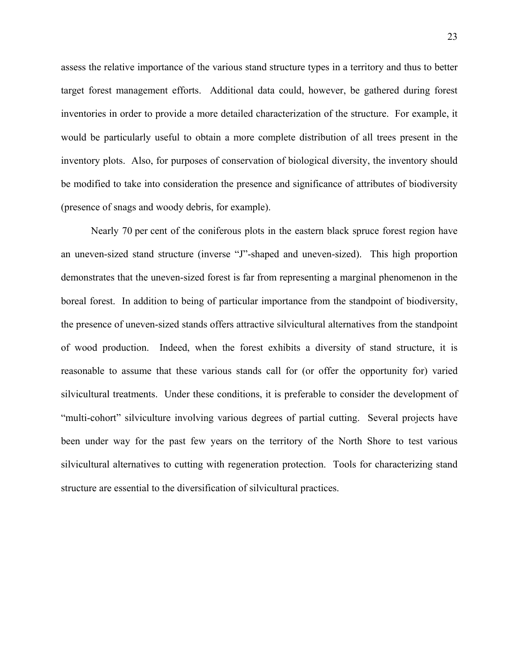assess the relative importance of the various stand structure types in a territory and thus to better target forest management efforts. Additional data could, however, be gathered during forest inventories in order to provide a more detailed characterization of the structure. For example, it would be particularly useful to obtain a more complete distribution of all trees present in the inventory plots. Also, for purposes of conservation of biological diversity, the inventory should be modified to take into consideration the presence and significance of attributes of biodiversity (presence of snags and woody debris, for example).

Nearly 70 per cent of the coniferous plots in the eastern black spruce forest region have an uneven-sized stand structure (inverse "J"-shaped and uneven-sized). This high proportion demonstrates that the uneven-sized forest is far from representing a marginal phenomenon in the boreal forest. In addition to being of particular importance from the standpoint of biodiversity, the presence of uneven-sized stands offers attractive silvicultural alternatives from the standpoint of wood production. Indeed, when the forest exhibits a diversity of stand structure, it is reasonable to assume that these various stands call for (or offer the opportunity for) varied silvicultural treatments. Under these conditions, it is preferable to consider the development of "multi-cohort" silviculture involving various degrees of partial cutting. Several projects have been under way for the past few years on the territory of the North Shore to test various silvicultural alternatives to cutting with regeneration protection. Tools for characterizing stand structure are essential to the diversification of silvicultural practices.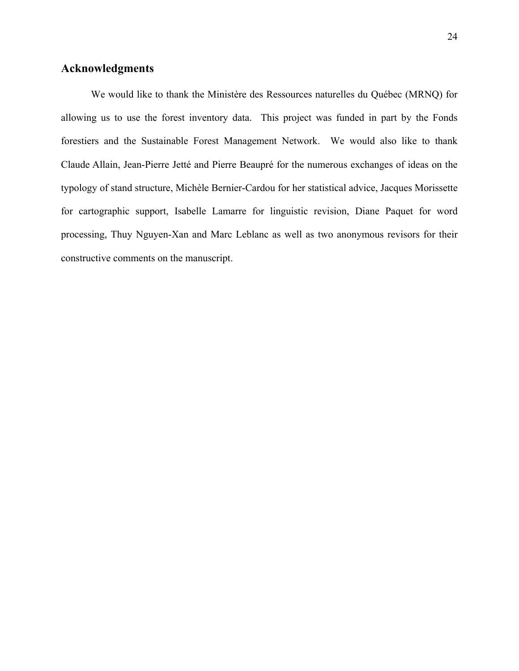#### **Acknowledgments**

We would like to thank the Ministère des Ressources naturelles du Québec (MRNQ) for allowing us to use the forest inventory data. This project was funded in part by the Fonds forestiers and the Sustainable Forest Management Network. We would also like to thank Claude Allain, Jean-Pierre Jetté and Pierre Beaupré for the numerous exchanges of ideas on the typology of stand structure, Michèle Bernier-Cardou for her statistical advice, Jacques Morissette for cartographic support, Isabelle Lamarre for linguistic revision, Diane Paquet for word processing, Thuy Nguyen-Xan and Marc Leblanc as well as two anonymous revisors for their constructive comments on the manuscript.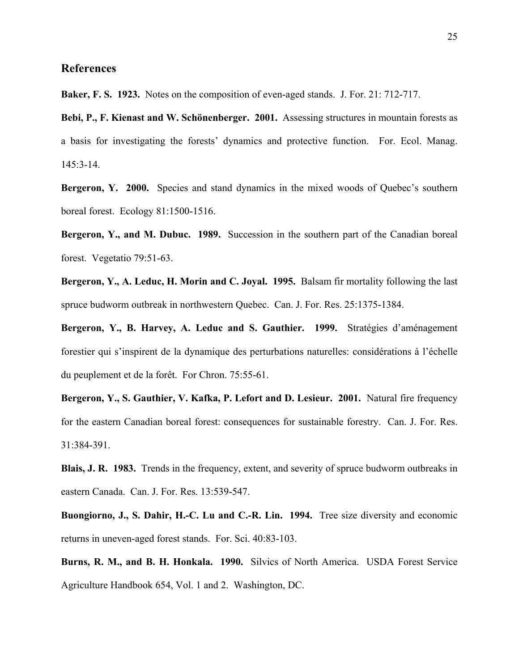#### **References**

**Baker, F. S. 1923.** Notes on the composition of even-aged stands. J. For. 21: 712-717.

**Bebi, P., F. Kienast and W. Schönenberger. 2001.** Assessing structures in mountain forests as a basis for investigating the forests' dynamics and protective function. For. Ecol. Manag. 145:3-14.

**Bergeron, Y. 2000.** Species and stand dynamics in the mixed woods of Quebec's southern boreal forest. Ecology 81:1500-1516.

**Bergeron, Y., and M. Dubuc. 1989.** Succession in the southern part of the Canadian boreal forest. Vegetatio 79:51-63.

**Bergeron, Y., A. Leduc, H. Morin and C. Joyal. 1995.** Balsam fir mortality following the last spruce budworm outbreak in northwestern Quebec. Can. J. For. Res. 25:1375-1384.

**Bergeron, Y., B. Harvey, A. Leduc and S. Gauthier. 1999.** Stratégies d'aménagement forestier qui s'inspirent de la dynamique des perturbations naturelles: considérations à l'échelle du peuplement et de la forêt. For Chron. 75:55-61.

**Bergeron, Y., S. Gauthier, V. Kafka, P. Lefort and D. Lesieur. 2001.** Natural fire frequency for the eastern Canadian boreal forest: consequences for sustainable forestry. Can. J. For. Res. 31:384-391.

**Blais, J. R. 1983.** Trends in the frequency, extent, and severity of spruce budworm outbreaks in eastern Canada. Can. J. For. Res. 13:539-547.

**Buongiorno, J., S. Dahir, H.-C. Lu and C.-R. Lin. 1994.** Tree size diversity and economic returns in uneven-aged forest stands. For. Sci. 40:83-103.

**Burns, R. M., and B. H. Honkala. 1990.** Silvics of North America. USDA Forest Service Agriculture Handbook 654, Vol. 1 and 2. Washington, DC.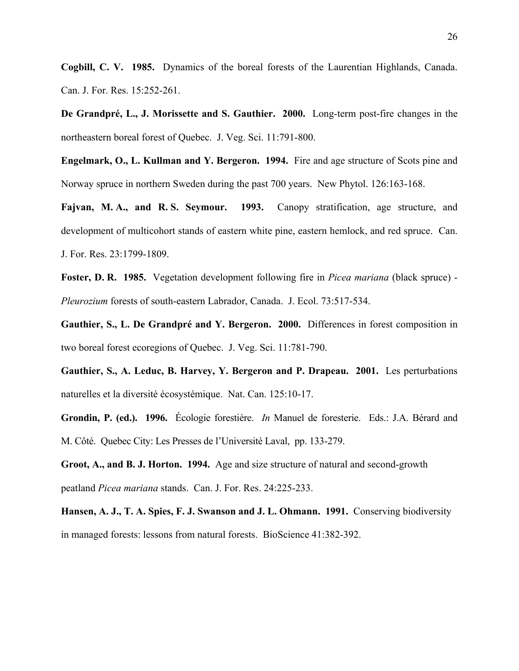**Cogbill, C. V. 1985.** Dynamics of the boreal forests of the Laurentian Highlands, Canada. Can. J. For. Res. 15:252-261.

**De Grandpré, L., J. Morissette and S. Gauthier. 2000.** Long-term post-fire changes in the northeastern boreal forest of Quebec. J. Veg. Sci. 11:791-800.

**Engelmark, O., L. Kullman and Y. Bergeron. 1994.** Fire and age structure of Scots pine and Norway spruce in northern Sweden during the past 700 years. New Phytol. 126:163-168.

**Fajvan, M. A., and R. S. Seymour. 1993.** Canopy stratification, age structure, and development of multicohort stands of eastern white pine, eastern hemlock, and red spruce. Can. J. For. Res. 23:1799-1809.

**Foster, D. R. 1985.** Vegetation development following fire in *Picea mariana* (black spruce) - *Pleurozium* forests of south-eastern Labrador, Canada. J. Ecol. 73:517-534.

**Gauthier, S., L. De Grandpré and Y. Bergeron. 2000.** Differences in forest composition in two boreal forest ecoregions of Quebec. J. Veg. Sci. 11:781-790.

**Gauthier, S., A. Leduc, B. Harvey, Y. Bergeron and P. Drapeau. 2001.** Les perturbations naturelles et la diversité écosystémique. Nat. Can. 125:10-17.

**Grondin, P. (ed.). 1996.** Écologie forestière. *In* Manuel de foresterie. Eds.: J.A. Bérard and M. Côté. Quebec City: Les Presses de l'Université Laval, pp. 133-279.

**Groot, A., and B. J. Horton. 1994.** Age and size structure of natural and second-growth peatland *Picea mariana* stands. Can. J. For. Res. 24:225-233.

**Hansen, A. J., T. A. Spies, F. J. Swanson and J. L. Ohmann. 1991.** Conserving biodiversity in managed forests: lessons from natural forests. BioScience 41:382-392.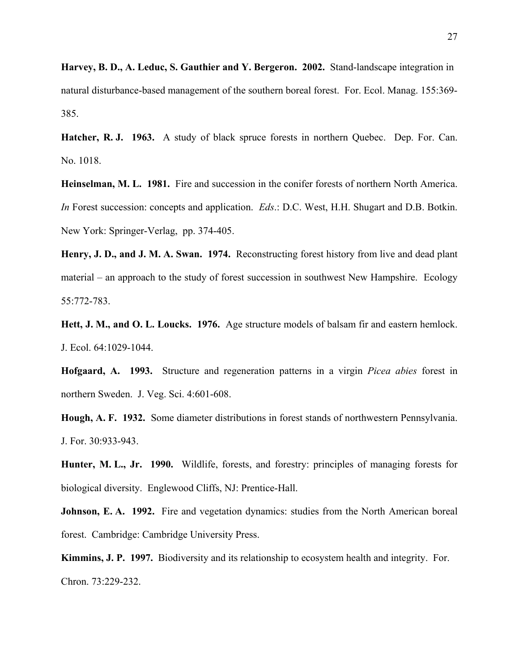**Harvey, B. D., A. Leduc, S. Gauthier and Y. Bergeron. 2002.** Stand-landscape integration in natural disturbance-based management of the southern boreal forest. For. Ecol. Manag. 155:369- 385.

**Hatcher, R. J. 1963.** A study of black spruce forests in northern Quebec. Dep. For. Can. No. 1018.

**Heinselman, M. L. 1981.** Fire and succession in the conifer forests of northern North America. *In* Forest succession: concepts and application. *Eds*.: D.C. West, H.H. Shugart and D.B. Botkin. New York: Springer-Verlag, pp. 374-405.

**Henry, J. D., and J. M. A. Swan. 1974.** Reconstructing forest history from live and dead plant material – an approach to the study of forest succession in southwest New Hampshire. Ecology 55:772-783.

**Hett, J. M., and O. L. Loucks. 1976.** Age structure models of balsam fir and eastern hemlock. J. Ecol. 64:1029-1044.

**Hofgaard, A. 1993.** Structure and regeneration patterns in a virgin *Picea abies* forest in northern Sweden. J. Veg. Sci. 4:601-608.

**Hough, A. F. 1932.** Some diameter distributions in forest stands of northwestern Pennsylvania. J. For. 30:933-943.

**Hunter, M. L., Jr. 1990.** Wildlife, forests, and forestry: principles of managing forests for biological diversity. Englewood Cliffs, NJ: Prentice-Hall.

**Johnson, E. A. 1992.** Fire and vegetation dynamics: studies from the North American boreal forest. Cambridge: Cambridge University Press.

**Kimmins, J. P. 1997.** Biodiversity and its relationship to ecosystem health and integrity. For. Chron. 73:229-232.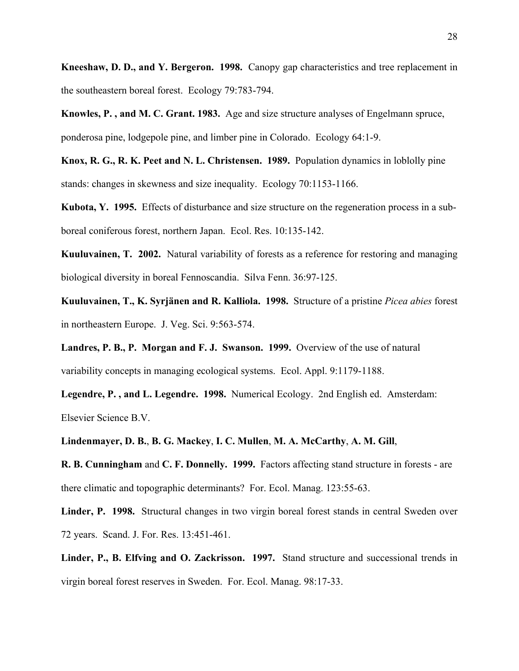**Kneeshaw, D. D., and Y. Bergeron. 1998.** Canopy gap characteristics and tree replacement in the southeastern boreal forest. Ecology 79:783-794.

**Knowles, P. , and M. C. Grant. 1983.** Age and size structure analyses of Engelmann spruce, ponderosa pine, lodgepole pine, and limber pine in Colorado. Ecology 64:1-9.

**Knox, R. G., R. K. Peet and N. L. Christensen. 1989.** Population dynamics in loblolly pine stands: changes in skewness and size inequality. Ecology 70:1153-1166.

**Kubota, Y. 1995.** Effects of disturbance and size structure on the regeneration process in a subboreal coniferous forest, northern Japan. Ecol. Res. 10:135-142.

**Kuuluvainen, T. 2002.** Natural variability of forests as a reference for restoring and managing biological diversity in boreal Fennoscandia. Silva Fenn. 36:97-125.

**Kuuluvainen, T., K. Syrjänen and R. Kalliola. 1998.** Structure of a pristine *Picea abies* forest in northeastern Europe. J. Veg. Sci. 9:563-574.

**Landres, P. B., P. Morgan and F. J. Swanson. 1999.** Overview of the use of natural variability concepts in managing ecological systems. Ecol. Appl. 9:1179-1188.

**Legendre, P. , and L. Legendre. 1998.** Numerical Ecology. 2nd English ed. Amsterdam: Elsevier Science B.V.

**Lindenmayer, D. B.**, **B. G. Mackey**, **I. C. Mullen**, **M. A. McCarthy**, **A. M. Gill**,

**R. B. Cunningham** and **C. F. Donnelly. 1999.** Factors affecting stand structure in forests - are there climatic and topographic determinants? For. Ecol. Manag. 123:55-63.

**Linder, P. 1998.** Structural changes in two virgin boreal forest stands in central Sweden over 72 years. Scand. J. For. Res. 13:451-461.

**Linder, P., B. Elfving and O. Zackrisson. 1997.** Stand structure and successional trends in virgin boreal forest reserves in Sweden. For. Ecol. Manag. 98:17-33.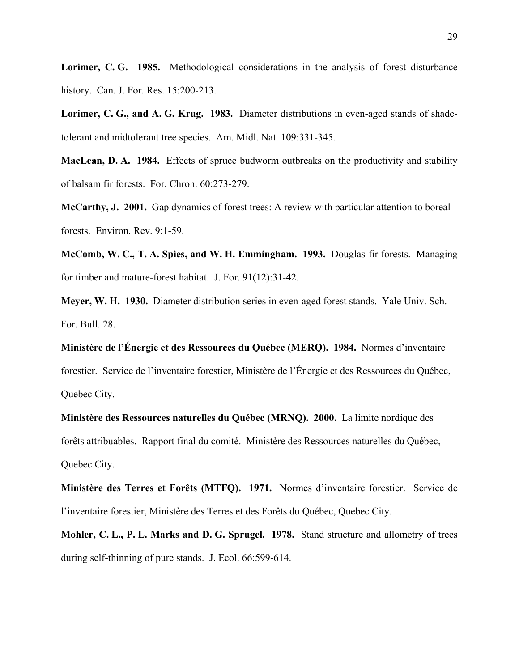**Lorimer, C. G. 1985.** Methodological considerations in the analysis of forest disturbance history. Can. J. For. Res. 15:200-213.

**Lorimer, C. G., and A. G. Krug. 1983.** Diameter distributions in even-aged stands of shadetolerant and midtolerant tree species. Am. Midl. Nat. 109:331-345.

**MacLean, D. A. 1984.** Effects of spruce budworm outbreaks on the productivity and stability of balsam fir forests. For. Chron. 60:273-279.

**McCarthy, J. 2001.** Gap dynamics of forest trees: A review with particular attention to boreal forests. Environ. Rev. 9:1-59.

**McComb, W. C., T. A. Spies, and W. H. Emmingham. 1993.** Douglas-fir forests. Managing for timber and mature-forest habitat. J. For. 91(12):31-42.

**Meyer, W. H. 1930.** Diameter distribution series in even-aged forest stands. Yale Univ. Sch. For. Bull. 28.

**Ministère de l'Énergie et des Ressources du Québec (MERQ). 1984.** Normes d'inventaire forestier. Service de l'inventaire forestier, Ministère de l'Énergie et des Ressources du Québec, Quebec City.

**Ministère des Ressources naturelles du Québec (MRNQ). 2000.** La limite nordique des forêts attribuables. Rapport final du comité. Ministère des Ressources naturelles du Québec, Quebec City.

**Ministère des Terres et Forêts (MTFQ). 1971.** Normes d'inventaire forestier. Service de l'inventaire forestier, Ministère des Terres et des Forêts du Québec, Quebec City.

**Mohler, C. L., P. L. Marks and D. G. Sprugel. 1978.** Stand structure and allometry of trees during self-thinning of pure stands. J. Ecol. 66:599-614.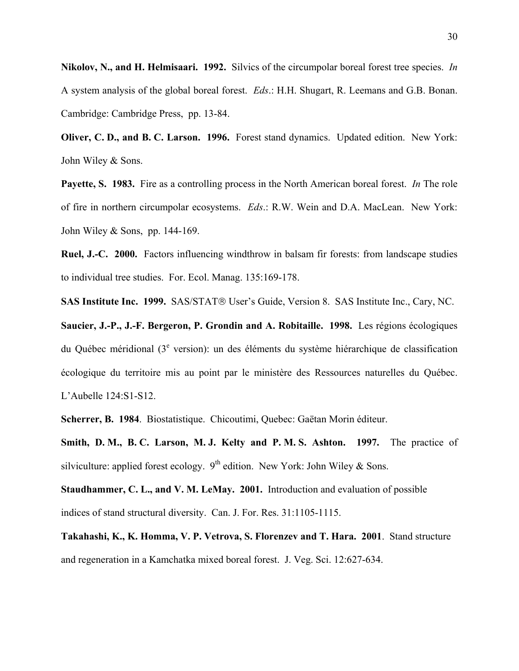**Nikolov, N., and H. Helmisaari. 1992.** Silvics of the circumpolar boreal forest tree species. *In* A system analysis of the global boreal forest. *Eds*.: H.H. Shugart, R. Leemans and G.B. Bonan. Cambridge: Cambridge Press, pp. 13-84.

**Oliver, C. D., and B. C. Larson. 1996.** Forest stand dynamics. Updated edition. New York: John Wiley & Sons.

**Payette, S. 1983.** Fire as a controlling process in the North American boreal forest. *In* The role of fire in northern circumpolar ecosystems. *Eds*.: R.W. Wein and D.A. MacLean. New York: John Wiley & Sons, pp. 144-169.

**Ruel, J.-C. 2000.** Factors influencing windthrow in balsam fir forests: from landscape studies to individual tree studies. For. Ecol. Manag. 135:169-178.

**SAS Institute Inc. 1999.** SAS/STAT<sup>®</sup> User's Guide, Version 8. SAS Institute Inc., Cary, NC.

**Saucier, J.-P., J.-F. Bergeron, P. Grondin and A. Robitaille. 1998.** Les régions écologiques du Québec méridional (3<sup>e</sup> version): un des éléments du système hiérarchique de classification écologique du territoire mis au point par le ministère des Ressources naturelles du Québec. L'Aubelle 124:S1-S12.

**Scherrer, B. 1984**. Biostatistique. Chicoutimi, Quebec: Gaëtan Morin éditeur.

**Smith, D. M., B. C. Larson, M. J. Kelty and P. M. S. Ashton. 1997.** The practice of silviculture: applied forest ecology.  $9^{th}$  edition. New York: John Wiley & Sons.

**Staudhammer, C. L., and V. M. LeMay. 2001.** Introduction and evaluation of possible indices of stand structural diversity. Can. J. For. Res. 31:1105-1115.

**Takahashi, K., K. Homma, V. P. Vetrova, S. Florenzev and T. Hara. 2001**. Stand structure and regeneration in a Kamchatka mixed boreal forest. J. Veg. Sci. 12:627-634.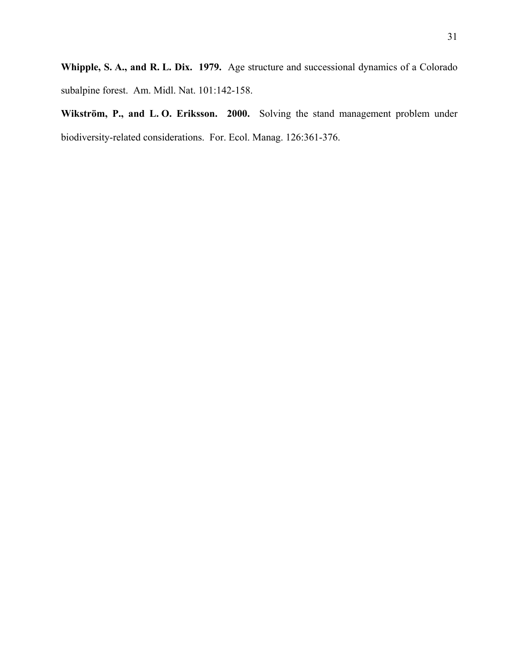**Whipple, S. A., and R. L. Dix. 1979.** Age structure and successional dynamics of a Colorado subalpine forest. Am. Midl. Nat. 101:142-158.

**Wikström, P., and L. O. Eriksson. 2000.** Solving the stand management problem under biodiversity-related considerations. For. Ecol. Manag. 126:361-376.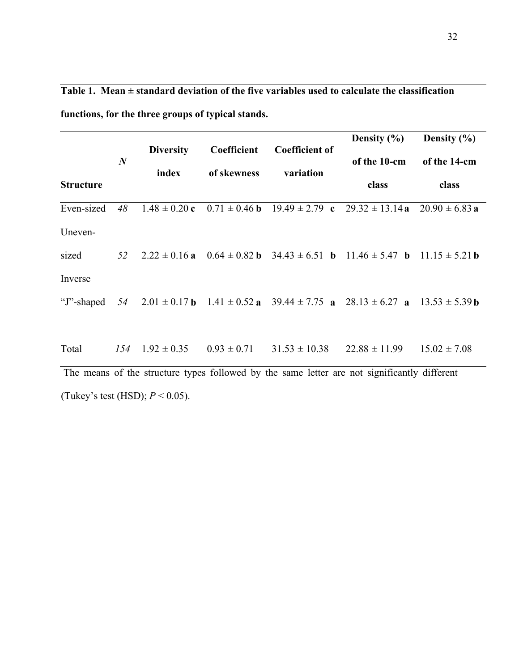|                                                                                              | $\boldsymbol{N}$ | <b>Diversity</b> | Coefficient | <b>Coefficient of</b> | Density $(\% )$<br>of the 10-cm                                                                                                               | Density $(\% )$<br>of the 14-cm |
|----------------------------------------------------------------------------------------------|------------------|------------------|-------------|-----------------------|-----------------------------------------------------------------------------------------------------------------------------------------------|---------------------------------|
| <b>Structure</b>                                                                             |                  | index            | of skewness | variation             | class                                                                                                                                         | class                           |
| Even-sized                                                                                   | 48               |                  |             |                       | $1.48 \pm 0.20$ c $0.71 \pm 0.46$ b $19.49 \pm 2.79$ c $29.32 \pm 13.14$ a $20.90 \pm 6.83$ a                                                 |                                 |
| Uneven-                                                                                      |                  |                  |             |                       |                                                                                                                                               |                                 |
| sized                                                                                        |                  |                  |             |                       | 52 $2.22 \pm 0.16$ a $0.64 \pm 0.82$ b $34.43 \pm 6.51$ b $11.46 \pm 5.47$ b $11.15 \pm 5.21$ b                                               |                                 |
| Inverse                                                                                      |                  |                  |             |                       |                                                                                                                                               |                                 |
|                                                                                              |                  |                  |             |                       | "J"-shaped 54 2.01 $\pm$ 0.17 <b>b</b> 1.41 $\pm$ 0.52 <b>a</b> 39.44 $\pm$ 7.75 <b>a</b> 28.13 $\pm$ 6.27 <b>a</b> 13.53 $\pm$ 5.39 <b>b</b> |                                 |
| Total                                                                                        |                  |                  |             |                       | $154$ $1.92 \pm 0.35$ $0.93 \pm 0.71$ $31.53 \pm 10.38$ $22.88 \pm 11.99$                                                                     | $15.02 \pm 7.08$                |
| The means of the structure types followed by the same letter are not significantly different |                  |                  |             |                       |                                                                                                                                               |                                 |

**Table 1. Mean ± standard deviation of the five variables used to calculate the classification** 

**functions, for the three groups of typical stands.** 

(Tukey's test (HSD); *P* < 0.05).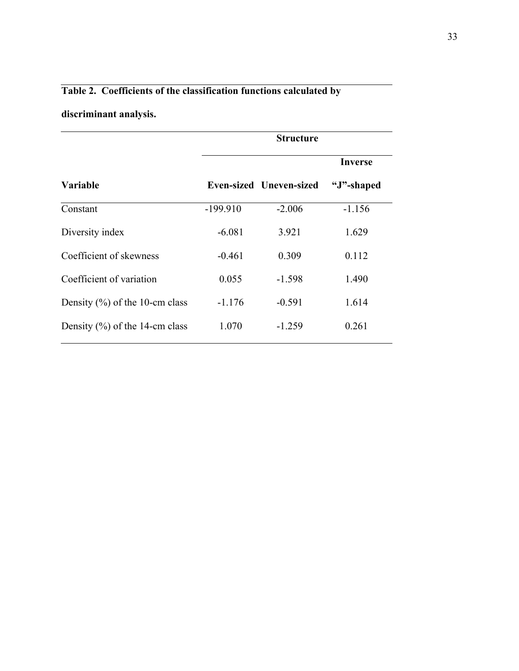### **Table 2. Coefficients of the classification functions calculated by**

### **discriminant analysis.**

|                                    |            | <b>Structure</b>               |            |
|------------------------------------|------------|--------------------------------|------------|
|                                    |            |                                | Inverse    |
| <b>Variable</b>                    |            | <b>Even-sized Uneven-sized</b> | "J"-shaped |
| Constant                           | $-199.910$ | $-2.006$                       | $-1.156$   |
| Diversity index                    | $-6.081$   | 3.921                          | 1.629      |
| Coefficient of skewness            | $-0.461$   | 0.309                          | 0.112      |
| Coefficient of variation           | 0.055      | $-1.598$                       | 1.490      |
| Density $(\% )$ of the 10-cm class | $-1.176$   | $-0.591$                       | 1.614      |
| Density $(\% )$ of the 14-cm class | 1.070      | $-1.259$                       | 0.261      |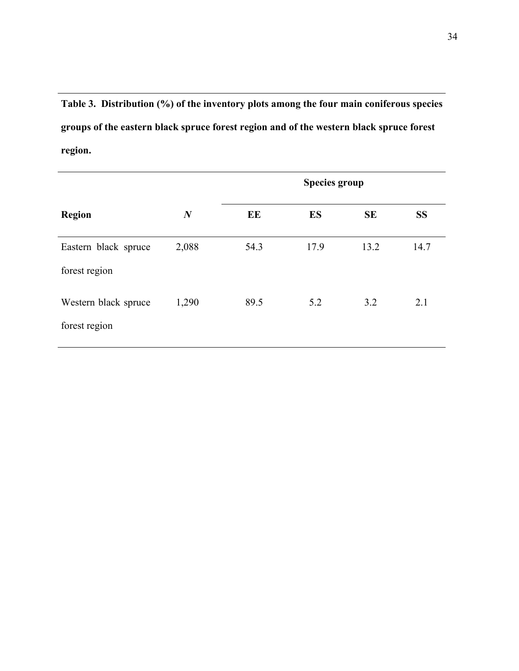**Table 3. Distribution (%) of the inventory plots among the four main coniferous species groups of the eastern black spruce forest region and of the western black spruce forest region.** 

|                                       |                  |      | <b>Species group</b> |           |           |
|---------------------------------------|------------------|------|----------------------|-----------|-----------|
| <b>Region</b>                         | $\boldsymbol{N}$ | EE   | <b>ES</b>            | <b>SE</b> | <b>SS</b> |
| Eastern black spruce<br>forest region | 2,088            | 54.3 | 17.9                 | 13.2      | 14.7      |
| Western black spruce<br>forest region | 1,290            | 89.5 | 5.2                  | 3.2       | 2.1       |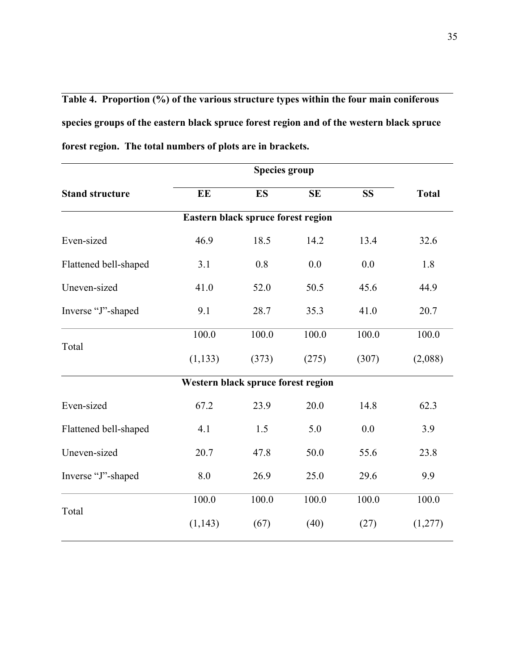**Table 4. Proportion (%) of the various structure types within the four main coniferous species groups of the eastern black spruce forest region and of the western black spruce forest region. The total numbers of plots are in brackets.**

| <b>Stand structure</b> | EE                                 | <b>ES</b>                          | <b>SE</b> | <b>SS</b> | <b>Total</b> |
|------------------------|------------------------------------|------------------------------------|-----------|-----------|--------------|
|                        |                                    | Eastern black spruce forest region |           |           |              |
| Even-sized             | 46.9                               | 18.5                               | 14.2      | 13.4      | 32.6         |
| Flattened bell-shaped  | 3.1                                | 0.8                                | 0.0       | 0.0       | 1.8          |
| Uneven-sized           | 41.0                               | 52.0                               | 50.5      | 45.6      | 44.9         |
| Inverse "J"-shaped     | 9.1                                | 28.7                               | 35.3      | 41.0      | 20.7         |
| Total                  | 100.0                              | 100.0                              | 100.0     | 100.0     | 100.0        |
|                        | (1, 133)                           | (373)                              | (275)     | (307)     | (2,088)      |
|                        | Western black spruce forest region |                                    |           |           |              |
| Even-sized             | 67.2                               | 23.9                               | 20.0      | 14.8      | 62.3         |
| Flattened bell-shaped  | 4.1                                | 1.5                                | 5.0       | 0.0       | 3.9          |
| Uneven-sized           | 20.7                               | 47.8                               | 50.0      | 55.6      | 23.8         |
| Inverse "J"-shaped     | 8.0                                | 26.9                               | 25.0      | 29.6      | 9.9          |
| Total                  | 100.0                              | 100.0                              | 100.0     | 100.0     | 100.0        |
|                        | (1, 143)                           | (67)                               | (40)      | (27)      | (1,277)      |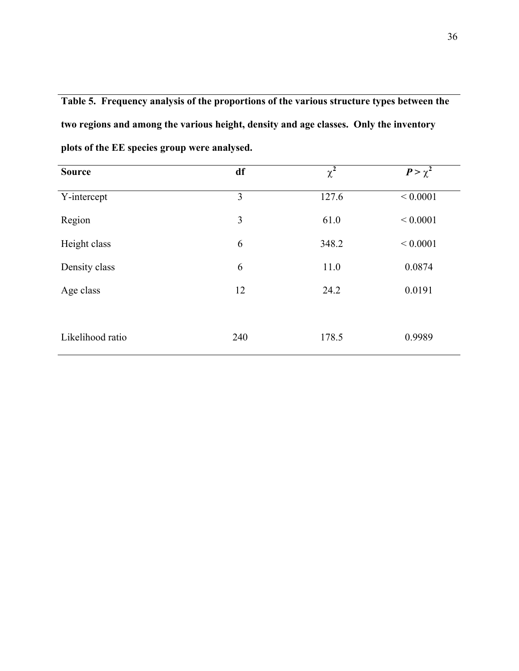**Table 5. Frequency analysis of the proportions of the various structure types between the two regions and among the various height, density and age classes. Only the inventory plots of the EE species group were analysed.**

| <b>Source</b>    | df  | $\chi^2$ | $P > \chi^2$ |
|------------------|-----|----------|--------------|
| Y-intercept      | 3   | 127.6    | ${}< 0.0001$ |
| Region           | 3   | 61.0     | ${}< 0.0001$ |
| Height class     | 6   | 348.2    | ${}< 0.0001$ |
| Density class    | 6   | 11.0     | 0.0874       |
| Age class        | 12  | 24.2     | 0.0191       |
| Likelihood ratio | 240 | 178.5    | 0.9989       |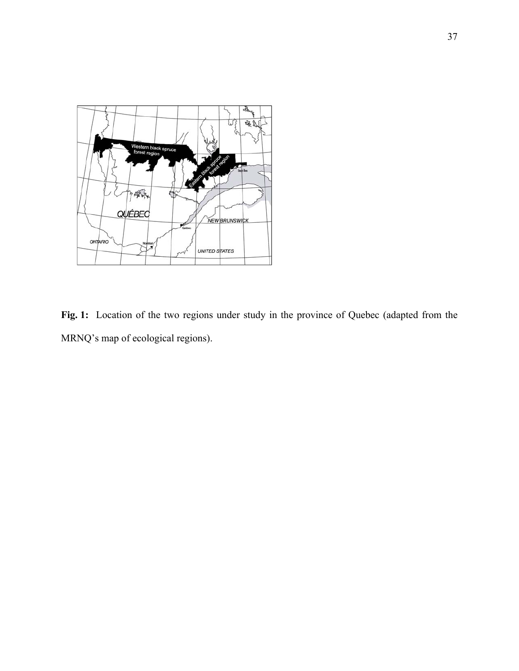

Fig. 1: Location of the two regions under study in the province of Quebec (adapted from the MRNQ's map of ecological regions).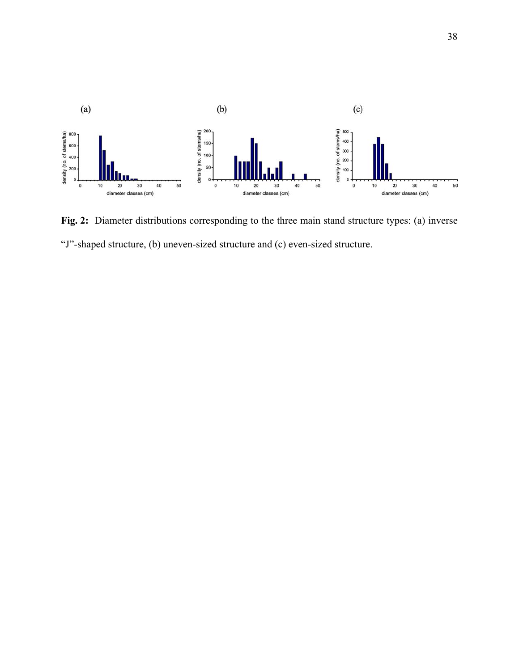

**Fig. 2:** Diameter distributions corresponding to the three main stand structure types: (a) inverse "J"-shaped structure, (b) uneven-sized structure and (c) even-sized structure.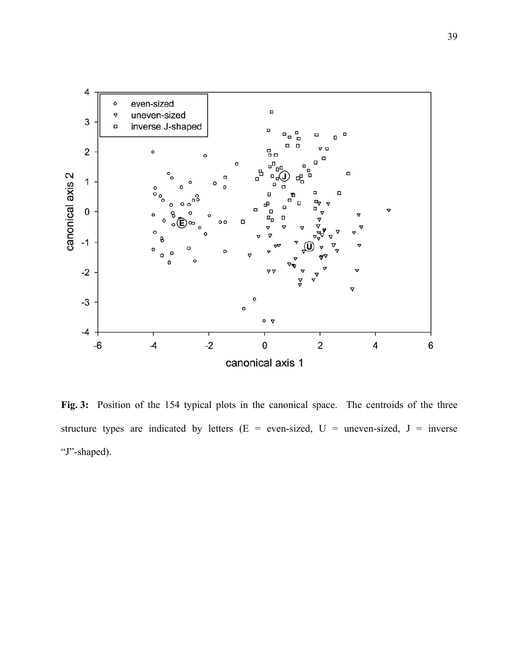

**Fig. 3:** Position of the 154 typical plots in the canonical space. The centroids of the three structure types are indicated by letters ( $E = even-sized$ ,  $U = uneven-sized$ ,  $J = inverse$ "J"-shaped).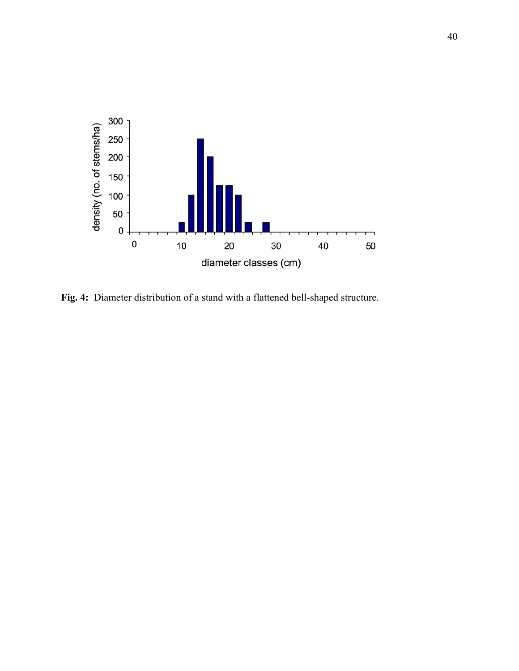

**Fig. 4:** Diameter distribution of a stand with a flattened bell-shaped structure.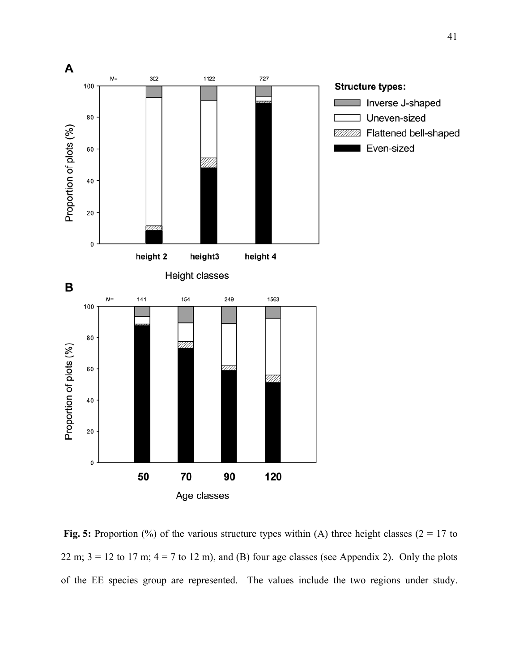

**Fig. 5:** Proportion (%) of the various structure types within (A) three height classes ( $2 = 17$  to 22 m;  $3 = 12$  to 17 m;  $4 = 7$  to 12 m), and (B) four age classes (see Appendix 2). Only the plots of the EE species group are represented. The values include the two regions under study.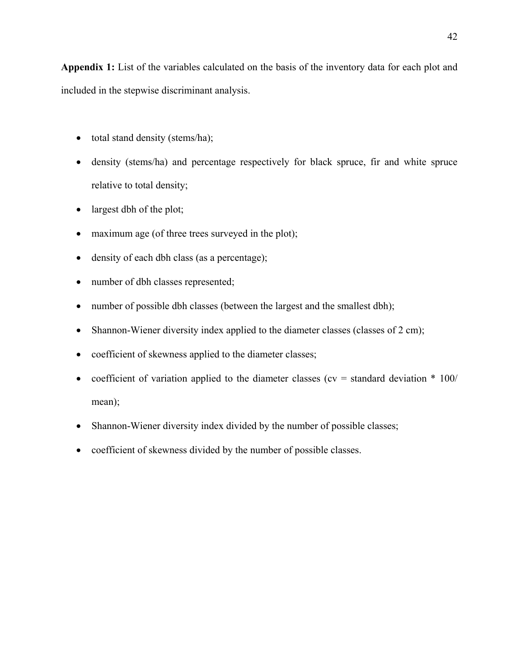**Appendix 1:** List of the variables calculated on the basis of the inventory data for each plot and included in the stepwise discriminant analysis.

- total stand density (stems/ha);
- density (stems/ha) and percentage respectively for black spruce, fir and white spruce relative to total density;
- largest dbh of the plot;
- maximum age (of three trees surveyed in the plot);
- density of each dbh class (as a percentage);
- number of dbh classes represented;
- number of possible dbh classes (between the largest and the smallest dbh);
- Shannon-Wiener diversity index applied to the diameter classes (classes of 2 cm);
- coefficient of skewness applied to the diameter classes;
- coefficient of variation applied to the diameter classes ( $cv =$  standard deviation  $*$  100/ mean);
- Shannon-Wiener diversity index divided by the number of possible classes;
- coefficient of skewness divided by the number of possible classes.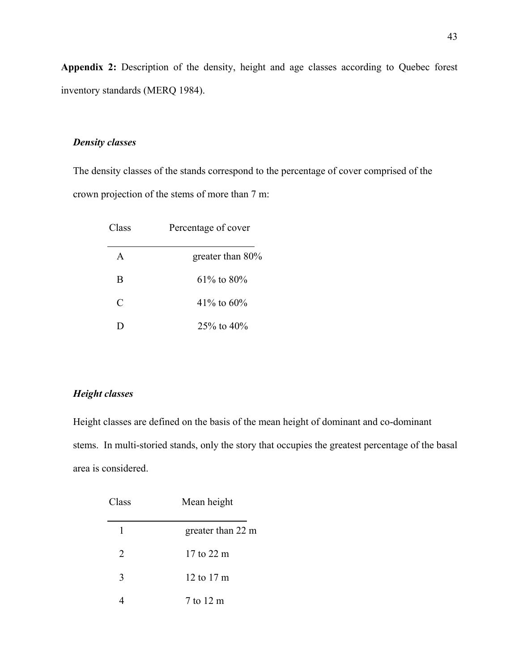**Appendix 2:** Description of the density, height and age classes according to Quebec forest inventory standards (MERQ 1984).

#### *Density classes*

The density classes of the stands correspond to the percentage of cover comprised of the crown projection of the stems of more than 7 m:

| Class | Percentage of cover |
|-------|---------------------|
| A     | greater than $80\%$ |
| B     | $61\%$ to 80%       |
| C     | 41\% to $60\%$      |
| ו ו   | $25\%$ to $40\%$    |

#### *Height classes*

Height classes are defined on the basis of the mean height of dominant and co-dominant stems. In multi-storied stands, only the story that occupies the greatest percentage of the basal area is considered.

| Class | Mean height       |
|-------|-------------------|
| 1     | greater than 22 m |
| 2     | 17 to 22 m        |
| 3     | 12 to 17 m        |
|       | 7 to 12 m         |